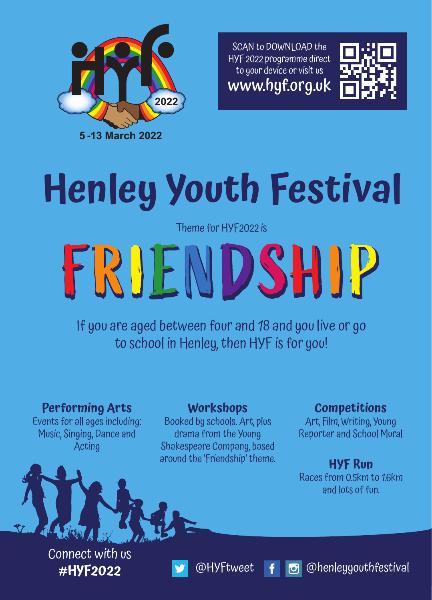SCAN to DOWNLOAD the HYF 2022 programme direct to your device or visit us www.hyf.org.uk





# **Henley Youth Festival**

Theme for HYF2022 is

# FRIENDSHIP FRIENDSHIP

If you are aged between four and 18 and you live or go to school in Henley, then HYF is for you!

**Performing Arts** Events for all ages including: Music, Singing, Dance and Acting

## **Workshops**

Booked by schools. Art, plus drama from the Young Shakespeare Company, based around the 'Friendship' theme.

# **Competitions**

Art, Film, Writing, Young Reporter and School Mural

# **HYF Run**

Races from 0.5km to 1.6km and lots of fun.

Connect with us



**#HYF2022** @HYFtweet @henleyyouthfestival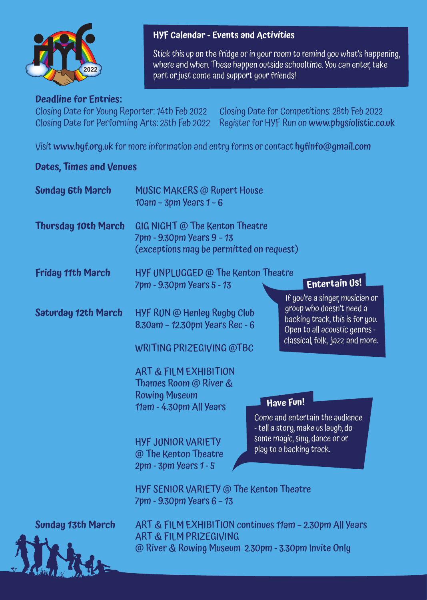

#### **Deadline for Entries:**

Closing Date for Young Reporter: 14th Feb 2022 Closing Date for Competitions: 28th Feb 2022 Closing Date for Performing Arts: 25th Feb 2022 Register for HYF Run on www.physiolistic.co.uk

Visit www.hyf.org.uk for more information and entry forms or contact hyfinfo@gmail.com

#### **Dates, Times and Venues**

| <b>Sunday 6th March</b>    | <b>MUSIC MAKERS @ Rupert House</b><br>$10$ am - 3pm Years $1 - 6$                                            |                                                                                                                                                                    |  |
|----------------------------|--------------------------------------------------------------------------------------------------------------|--------------------------------------------------------------------------------------------------------------------------------------------------------------------|--|
| <b>Thursday 10th March</b> | GIG NIGHT @ The Kenton Theatre<br>7pm - 9.30pm Years 9 - 13<br>(exceptions may be permitted on request)      |                                                                                                                                                                    |  |
| <b>Friday 11th March</b>   | HYF UNPLUGGED @ The Kenton Theatre<br>7pm - 9.30pm Years 5 - 13                                              | Entertain Us!                                                                                                                                                      |  |
| <b>Saturday 12th March</b> | HYF RUN @ Henley Rugby Club<br>8.30am - 12.30pm Years Rec - 6<br>WRITING PRIZEGIVING @TBC                    | If you're a singer, musician or<br>group who doesn't need a<br>backing track, this is for you.<br>Open to all acoustic genres -<br>classical, folk, jazz and more. |  |
|                            | <b>ART &amp; FILM EXHIBITION</b><br>Thames Room @ River &<br><b>Rowing Museum</b><br>11am - 4.30pm All Years | Have Fun!<br>Come and entertain the audience<br>- tell a story, make us laugh, do<br>some magic, sing, dance or or<br>play to a backing track.                     |  |
|                            | <b>HYF JUNIOR VARIETY</b><br>@ The Kenton Theatre<br>2pm - 3pm Years 1 - 5                                   |                                                                                                                                                                    |  |
|                            | HYF SENIOR VARIETY @ The Kenton Theatre<br>7pm - 9.30pm Years 6 - 13                                         |                                                                                                                                                                    |  |

**Sunday 13th March** ART & FILM EXHIBITION continues 11am – 2.30pm All Years ART & FILM PRIZEGIVING @ River & Rowing Museum 2.30pm - 3.30pm Invite Only

## **HYF Calendar - Events and Activities**

Stick this up on the fridge or in your room to remind you what's happening, where and when. These happen outside schooltime. You can enter, take part or just come and support your friends!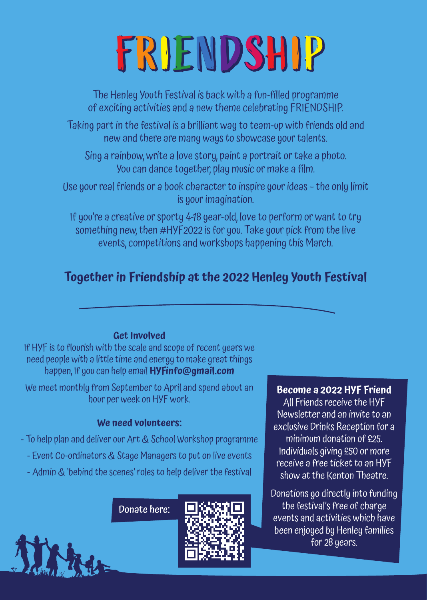# FRIENDSHIP

The Henley Youth Festival is back with a fun-filled programme of exciting activities and a new theme celebrating FRIENDSHIP.

Taking part in the festival is a brilliant way to team-up with friends old and new and there are many ways to showcase your talents.

Sing a rainbow, write a love story, paint a portrait or take a photo. You can dance together, play music or make a film.

Use your real friends or a book character to inspire your ideas – the only limit is your imagination.

If you're a creative or sporty 4-18 year-old, love to perform or want to try something new, then #HYF2022 is for you. Take your pick from the live events, competitions and workshops happening this March.

# **Together in Friendship at the 2022 Henley Youth Festival**

#### **Get Involved**

If HYF is to flourish with the scale and scope of recent years we need people with a little time and energy to make great things happen, If you can help email **HYFinfo@gmail.com**

We meet monthly from September to April and spend about an hour per week on HYF work.

#### **We need volunteers:**

- To help plan and deliver our Art & School Workshop programme

- Event Co-ordinators & Stage Managers to put on live events
- Admin & 'behind the scenes' roles to help deliver the festival

Donate here:



#### **Become a 2022 HYF Friend**

All Friends receive the HYF Newsletter and an invite to an exclusive Drinks Reception for a minimum donation of £25. Individuals giving £50 or more receive a free ticket to an HYF show at the Kenton Theatre.

Donations go directly into funding the festival's free of charge events and activities which have been enjoyed by Henley families for 28 years.